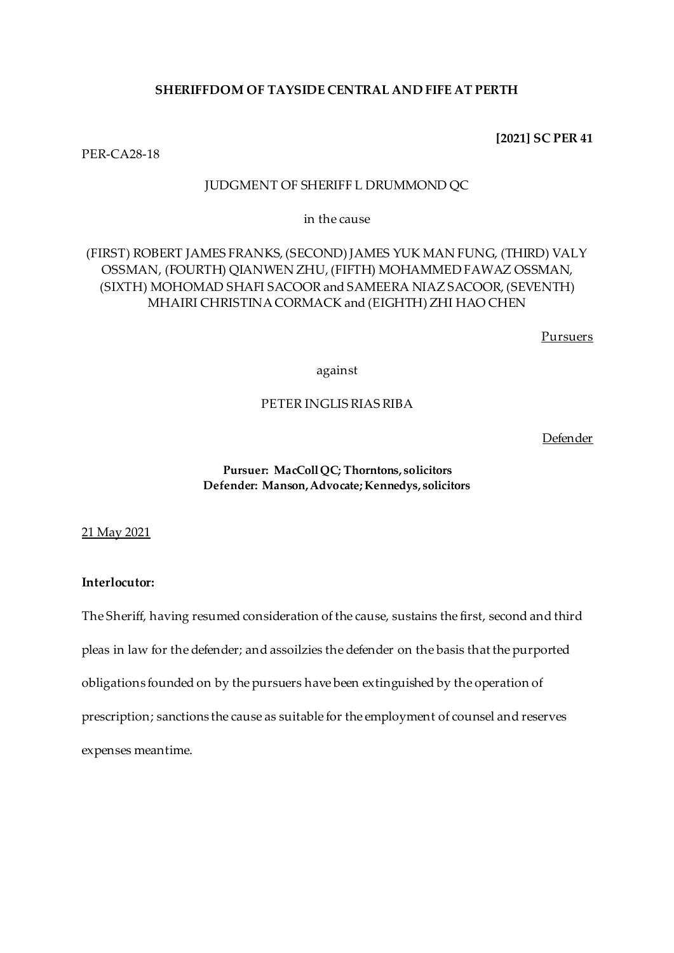# **SHERIFFDOM OF TAYSIDE CENTRAL AND FIFE AT PERTH**

## **[2021] SC PER 41**

PER-CA28-18

# JUDGMENT OF SHERIFF L DRUMMOND QC

in the cause

# (FIRST) ROBERT JAMES FRANKS, (SECOND) JAMES YUK MAN FUNG, (THIRD) VALY OSSMAN, (FOURTH) QIANWEN ZHU, (FIFTH) MOHAMMED FAWAZ OSSMAN, (SIXTH) MOHOMAD SHAFI SACOOR and SAMEERA NIAZ SACOOR, (SEVENTH) MHAIRI CHRISTINA CORMACK and (EIGHTH) ZHI HAO CHEN

Pursuers

against

# PETER INGLIS RIAS RIBA

Defender

## **Pursuer: MacColl QC; Thorntons, solicitors Defender: Manson, Advocate; Kennedys, solicitors**

21 May 2021

# **Interlocutor:**

The Sheriff, having resumed consideration of the cause, sustains the first, second and third pleas in law for the defender; and assoilzies the defender on the basis that the purported obligations founded on by the pursuers have been extinguished by the operation of prescription; sanctions the cause as suitable for the employment of counsel and reserves expenses meantime.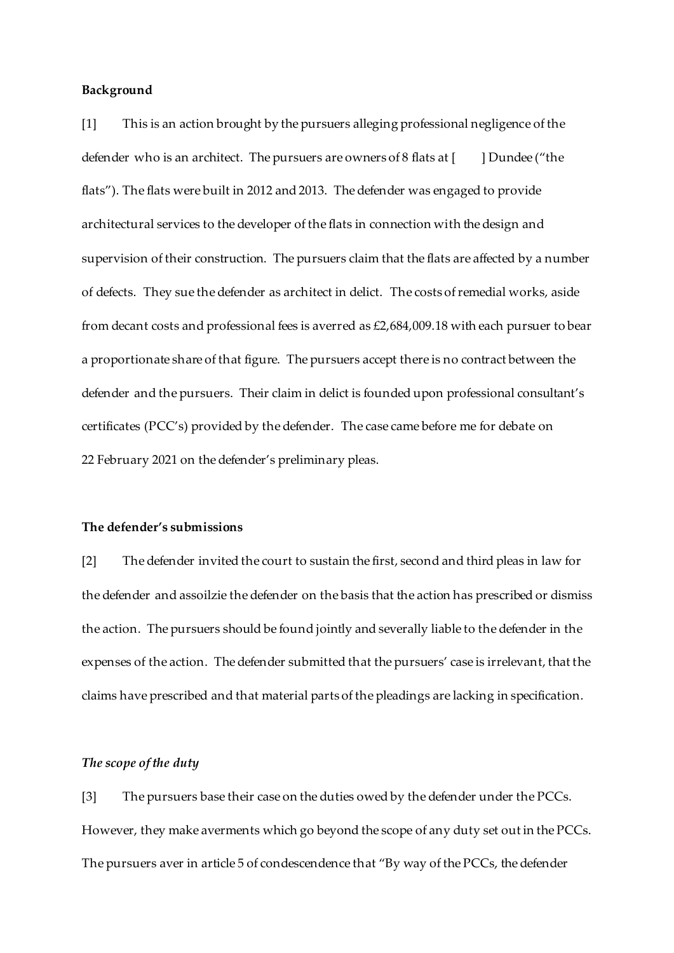## **Background**

[1] This is an action brought by the pursuers alleging professional negligence of the defender who is an architect. The pursuers are owners of 8 flats at  $[$  [  $]$  Dundee ("the flats"). The flats were built in 2012 and 2013. The defender was engaged to provide architectural services to the developer of the flats in connection with the design and supervision of their construction. The pursuers claim that the flats are affected by a number of defects. They sue the defender as architect in delict. The costs of remedial works, aside from decant costs and professional fees is averred as £2,684,009.18 with each pursuer to bear a proportionate share of that figure. The pursuers accept there is no contract between the defender and the pursuers. Their claim in delict is founded upon professional consultant's certificates (PCC's) provided by the defender. The case came before me for debate on 22 February 2021 on the defender's preliminary pleas.

#### **The defender's submissions**

[2] The defender invited the court to sustain the first, second and third pleas in law for the defender and assoilzie the defender on the basis that the action has prescribed or dismiss the action. The pursuers should be found jointly and severally liable to the defender in the expenses of the action. The defender submitted that the pursuers' case is irrelevant, that the claims have prescribed and that material parts of the pleadings are lacking in specification.

## *The scope of the duty*

[3] The pursuers base their case on the duties owed by the defender under the PCCs. However, they make averments which go beyond the scope of any duty set out in the PCCs. The pursuers aver in article 5 of condescendence that "By way of the PCCs, the defender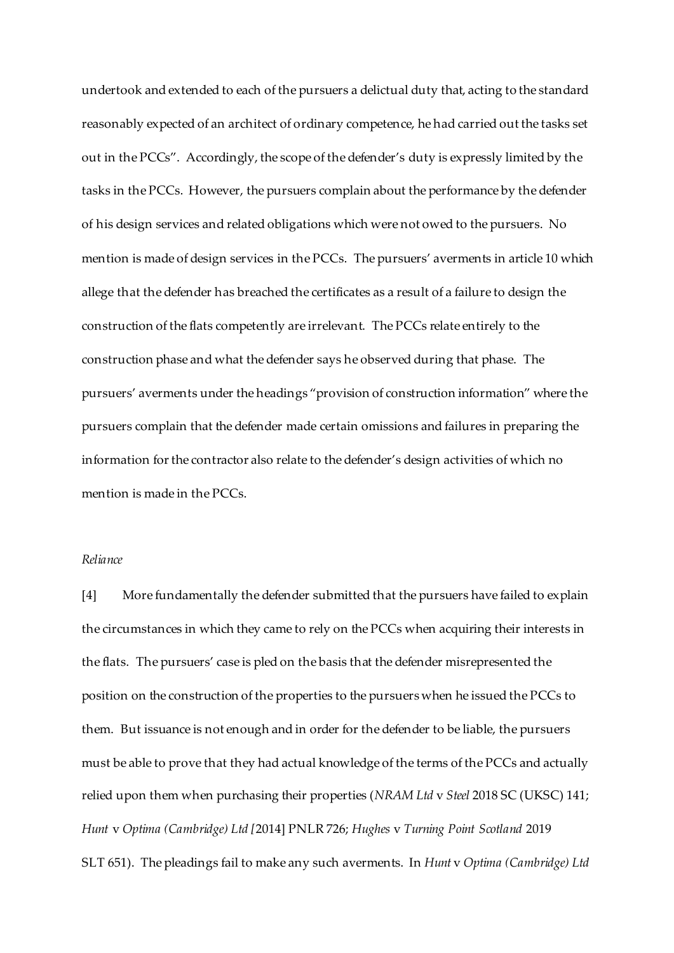undertook and extended to each of the pursuers a delictual duty that, acting to the standard reasonably expected of an architect of ordinary competence, he had carried out the tasks set out in the PCCs". Accordingly, the scope of the defender's duty is expressly limited by the tasks in the PCCs. However, the pursuers complain about the performance by the defender of his design services and related obligations which were not owed to the pursuers. No mention is made of design services in the PCCs. The pursuers' averments in article 10 which allege that the defender has breached the certificates as a result of a failure to design the construction of the flats competently are irrelevant. The PCCs relate entirely to the construction phase and what the defender says he observed during that phase. The pursuers' averments under the headings "provision of construction information" where the pursuers complain that the defender made certain omissions and failures in preparing the information for the contractor also relate to the defender's design activities of which no mention is made in the PCCs.

## *Reliance*

[4] More fundamentally the defender submitted that the pursuers have failed to explain the circumstances in which they came to rely on the PCCs when acquiring their interests in the flats. The pursuers' case is pled on the basis that the defender misrepresented the position on the construction of the properties to the pursuers when he issued the PCCs to them. But issuance is not enough and in order for the defender to be liable, the pursuers must be able to prove that they had actual knowledge of the terms of the PCCs and actually relied upon them when purchasing their properties (*NRAM Ltd* v *Steel* 2018 SC (UKSC) 141; *Hunt* v *Optima (Cambridge) Ltd [*2014] PNLR 726; *Hughes* v *Turning Point Scotland* 2019 SLT 651). The pleadings fail to make any such averments. In *Hunt* v *Optima (Cambridge) Ltd*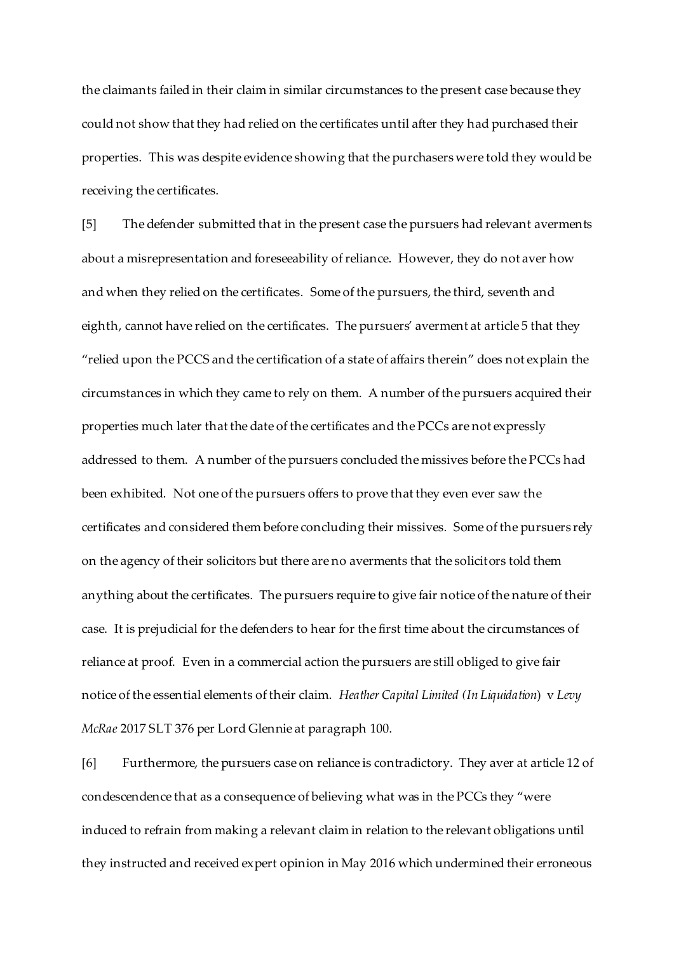the claimants failed in their claim in similar circumstances to the present case because they could not show that they had relied on the certificates until after they had purchased their properties. This was despite evidence showing that the purchasers were told they would be receiving the certificates.

[5] The defender submitted that in the present case the pursuers had relevant averments about a misrepresentation and foreseeability of reliance. However, they do not aver how and when they relied on the certificates. Some of the pursuers, the third, seventh and eighth, cannot have relied on the certificates. The pursuers' averment at article 5 that they "relied upon the PCCS and the certification of a state of affairs therein" does not explain the circumstances in which they came to rely on them. A number of the pursuers acquired their properties much later that the date of the certificates and the PCCs are not expressly addressed to them. A number of the pursuers concluded the missives before the PCCs had been exhibited. Not one of the pursuers offers to prove that they even ever saw the certificates and considered them before concluding their missives. Some of the pursuers rely on the agency of their solicitors but there are no averments that the solicitors told them anything about the certificates. The pursuers require to give fair notice of the nature of their case. It is prejudicial for the defenders to hear for the first time about the circumstances of reliance at proof. Even in a commercial action the pursuers are still obliged to give fair notice of the essential elements of their claim. *Heather Capital Limited (In Liquidation*) v *Levy McRae* 2017 SLT 376 per Lord Glennie at paragraph 100.

[6] Furthermore, the pursuers case on reliance is contradictory. They aver at article 12 of condescendence that as a consequence of believing what was in the PCCs they "were induced to refrain from making a relevant claim in relation to the relevant obligations until they instructed and received expert opinion in May 2016 which undermined their erroneous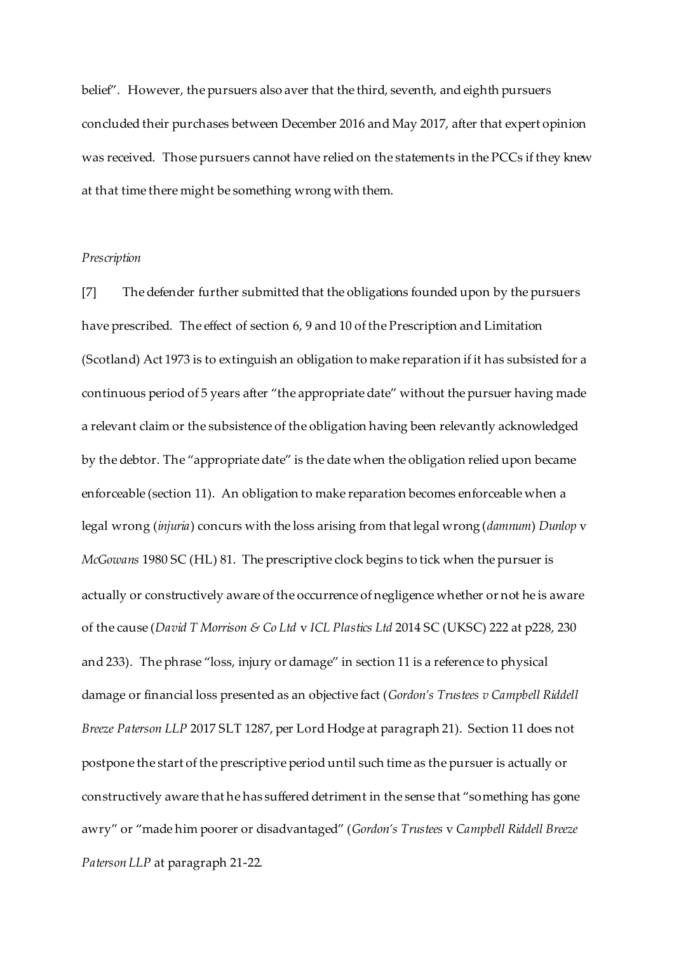belief". However, the pursuers also aver that the third, seventh, and eighth pursuers concluded their purchases between December 2016 and May 2017, after that expert opinion was received. Those pursuers cannot have relied on the statements in the PCCs if they knew at that time there might be something wrong with them.

### *Prescription*

[7] The defender further submitted that the obligations founded upon by the pursuers have prescribed. The effect of section 6, 9 and 10 of the Prescription and Limitation (Scotland) Act 1973 is to extinguish an obligation to make reparation if it has subsisted for a continuous period of 5 years after "the appropriate date" without the pursuer having made a relevant claim or the subsistence of the obligation having been relevantly acknowledged by the debtor. The "appropriate date" is the date when the obligation relied upon became enforceable (section 11). An obligation to make reparation becomes enforceable when a legal wrong (*injuria*) concurs with the loss arising from that legal wrong (*damnum*) *Dunlop* v *McGowans* 1980 SC (HL) 81. The prescriptive clock begins to tick when the pursuer is actually or constructively aware of the occurrence of negligence whether or not he is aware of the cause (*David T Morrison & Co Ltd* v *ICL Plastics Ltd* 2014 SC (UKSC) 222 at p228, 230 and 233). The phrase "loss, injury or damage" in section 11 is a reference to physical damage or financial loss presented as an objective fact (*Gordon's Trustees v Campbell Riddell Breeze Paterson LLP* 2017 SLT 1287, per Lord Hodge at paragraph 21). Section 11 does not postpone the start of the prescriptive period until such time as the pursuer is actually or constructively aware that he has suffered detriment in the sense that "something has gone awry" or "made him poorer or disadvantaged" (*Gordon's Trustees* v *Campbell Riddell Breeze Paterson LLP* at paragraph 21-22.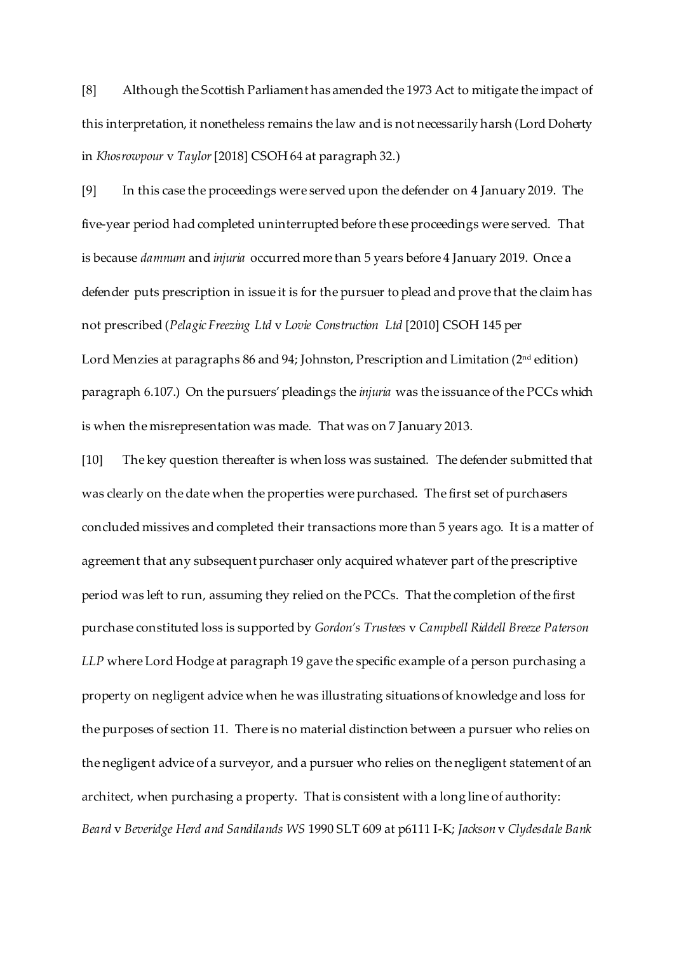[8] Although the Scottish Parliament has amended the 1973 Act to mitigate the impact of this interpretation, it nonetheless remains the law and is not necessarily harsh (Lord Doherty in *Khosrowpour* v *Taylor*[2018] CSOH 64 at paragraph 32.)

[9] In this case the proceedings were served upon the defender on 4 January 2019. The five-year period had completed uninterrupted before these proceedings were served. That is because *damnum* and *injuria* occurred more than 5 years before 4 January 2019. Once a defender puts prescription in issue it is for the pursuer to plead and prove that the claim has not prescribed (*Pelagic Freezing Ltd* v *Lovie Construction Ltd* [2010] CSOH 145 per

Lord Menzies at paragraphs 86 and 94; Johnston, Prescription and Limitation (2<sup>nd</sup> edition) paragraph 6.107.) On the pursuers' pleadings the *injuria* was the issuance of the PCCs which is when the misrepresentation was made. That was on 7 January 2013.

[10] The key question thereafter is when loss was sustained. The defender submitted that was clearly on the date when the properties were purchased. The first set of purchasers concluded missives and completed their transactions more than 5 years ago. It is a matter of agreement that any subsequent purchaser only acquired whatever part of the prescriptive period was left to run, assuming they relied on the PCCs. That the completion of the first purchase constituted loss is supported by *Gordon's Trustees* v *Campbell Riddell Breeze Paterson LLP* where Lord Hodge at paragraph 19 gave the specific example of a person purchasing a property on negligent advice when he was illustrating situations of knowledge and loss for the purposes of section 11. There is no material distinction between a pursuer who relies on the negligent advice of a surveyor, and a pursuer who relies on the negligent statement of an architect, when purchasing a property. That is consistent with a long line of authority: *Beard* v *Beveridge Herd and Sandilands WS* 1990 SLT 609 at p6111 I-K; *Jackson* v *Clydesdale Bank*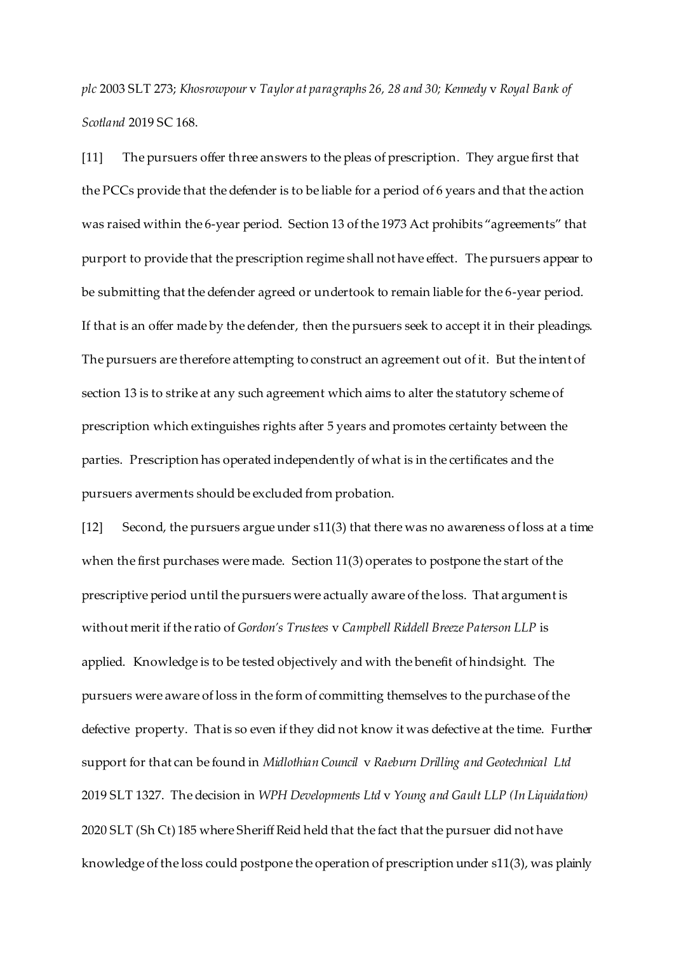*plc* 2003 SLT 273; *Khosrowpour* v *Taylor at paragraphs 26, 28 and 30; Kennedy* v *Royal Bank of Scotland* 2019 SC 168.

[11] The pursuers offer three answers to the pleas of prescription. They argue first that the PCCs provide that the defender is to be liable for a period of 6 years and that the action was raised within the 6-year period. Section 13 of the 1973 Act prohibits "agreements" that purport to provide that the prescription regime shall not have effect. The pursuers appear to be submitting that the defender agreed or undertook to remain liable for the 6-year period. If that is an offer made by the defender, then the pursuers seek to accept it in their pleadings. The pursuers are therefore attempting to construct an agreement out of it. But the intent of section 13 is to strike at any such agreement which aims to alter the statutory scheme of prescription which extinguishes rights after 5 years and promotes certainty between the parties. Prescription has operated independently of what is in the certificates and the pursuers averments should be excluded from probation.

[12] Second, the pursuers argue under s11(3) that there was no awareness of loss at a time when the first purchases were made. Section 11(3) operates to postpone the start of the prescriptive period until the pursuers were actually aware of the loss. That argument is without merit if the ratio of *Gordon's Trustees* v *Campbell Riddell Breeze Paterson LLP* is applied. Knowledge is to be tested objectively and with the benefit of hindsight. The pursuers were aware of loss in the form of committing themselves to the purchase of the defective property. That is so even if they did not know it was defective at the time. Further support for that can be found in *Midlothian Council* v *Raeburn Drilling and Geotechnical Ltd*  2019 SLT 1327. The decision in *WPH Developments Ltd* v *Young and Gault LLP (In Liquidation)*  2020 SLT (Sh Ct) 185 where Sheriff Reid held that the fact that the pursuer did not have knowledge of the loss could postpone the operation of prescription under s11(3), was plainly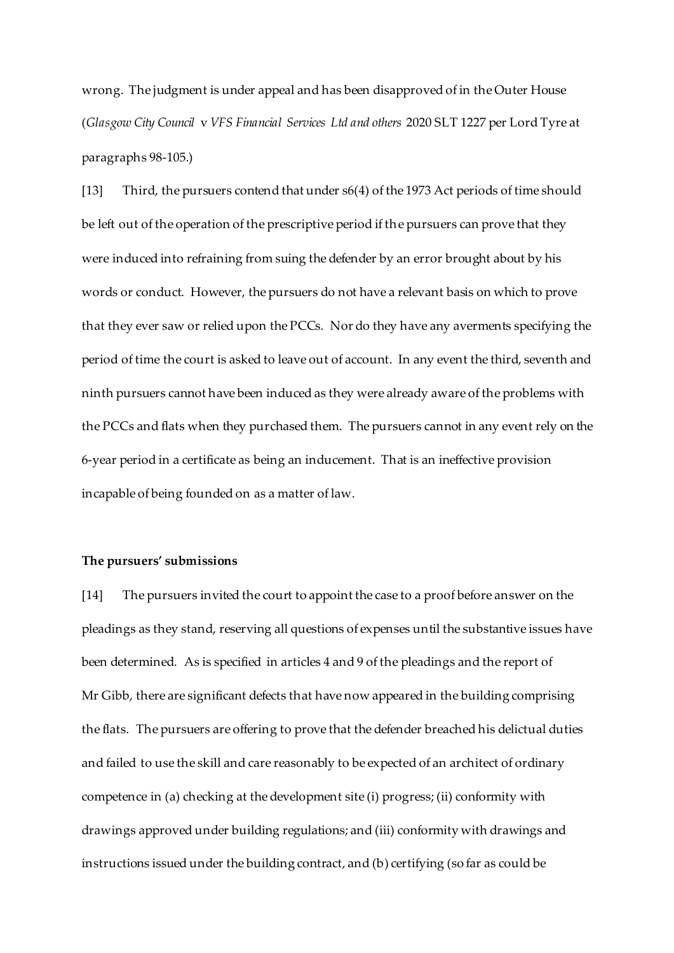wrong. The judgment is under appeal and has been disapproved of in the Outer House (*Glasgow City Council* v *VFS Financial Services Ltd and others* 2020 SLT 1227 per Lord Tyre at paragraphs 98-105.)

[13] Third, the pursuers contend that under s6(4) of the 1973 Act periods of time should be left out of the operation of the prescriptive period if the pursuers can prove that they were induced into refraining from suing the defender by an error brought about by his words or conduct. However, the pursuers do not have a relevant basis on which to prove that they ever saw or relied upon the PCCs. Nor do they have any averments specifying the period of time the court is asked to leave out of account. In any event the third, seventh and ninth pursuers cannot have been induced as they were already aware of the problems with the PCCs and flats when they purchased them. The pursuers cannot in any event rely on the 6-year period in a certificate as being an inducement. That is an ineffective provision incapable of being founded on as a matter of law.

#### **The pursuers' submissions**

[14] The pursuers invited the court to appoint the case to a proof before answer on the pleadings as they stand, reserving all questions of expenses until the substantive issues have been determined. As is specified in articles 4 and 9 of the pleadings and the report of Mr Gibb, there are significant defects that have now appeared in the building comprising the flats. The pursuers are offering to prove that the defender breached his delictual duties and failed to use the skill and care reasonably to be expected of an architect of ordinary competence in (a) checking at the development site (i) progress; (ii) conformity with drawings approved under building regulations; and (iii) conformity with drawings and instructions issued under the building contract, and (b) certifying (so far as could be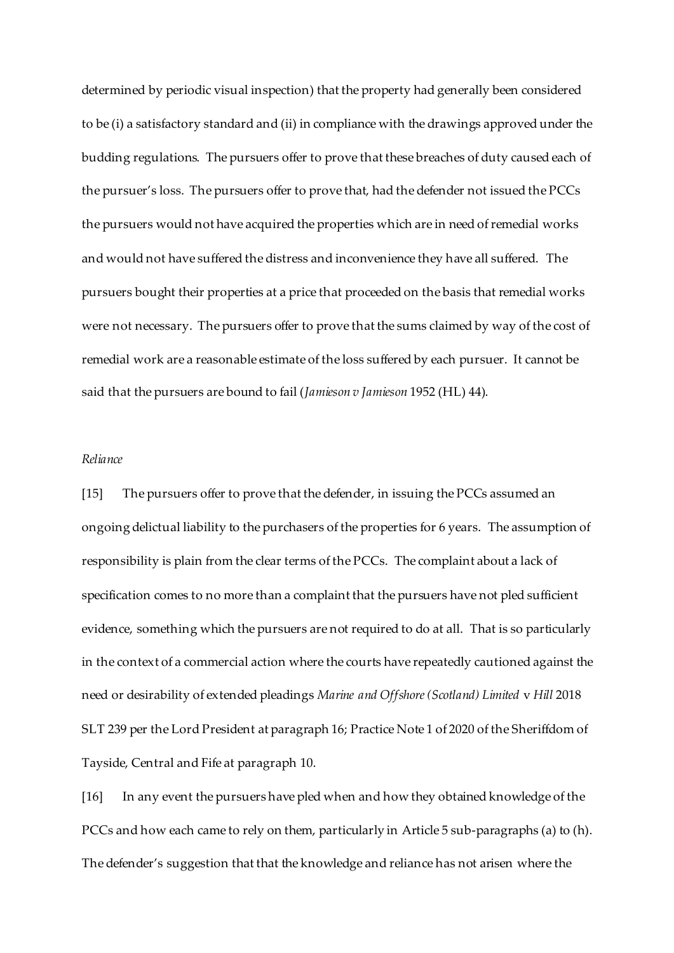determined by periodic visual inspection) that the property had generally been considered to be (i) a satisfactory standard and (ii) in compliance with the drawings approved under the budding regulations. The pursuers offer to prove that these breaches of duty caused each of the pursuer's loss. The pursuers offer to prove that, had the defender not issued the PCCs the pursuers would not have acquired the properties which are in need of remedial works and would not have suffered the distress and inconvenience they have all suffered. The pursuers bought their properties at a price that proceeded on the basis that remedial works were not necessary. The pursuers offer to prove that the sums claimed by way of the cost of remedial work are a reasonable estimate of the loss suffered by each pursuer. It cannot be said that the pursuers are bound to fail (*Jamieson v Jamieson* 1952 (HL) 44).

## *Reliance*

[15] The pursuers offer to prove that the defender, in issuing the PCCs assumed an ongoing delictual liability to the purchasers of the properties for 6 years. The assumption of responsibility is plain from the clear terms of the PCCs. The complaint about a lack of specification comes to no more than a complaint that the pursuers have not pled sufficient evidence, something which the pursuers are not required to do at all. That is so particularly in the context of a commercial action where the courts have repeatedly cautioned against the need or desirability of extended pleadings *Marine and Offshore (Scotland) Limited* v *Hill* 2018 SLT 239 per the Lord President at paragraph 16; Practice Note 1 of 2020 of the Sheriffdom of Tayside, Central and Fife at paragraph 10.

[16] In any event the pursuers have pled when and how they obtained knowledge of the PCCs and how each came to rely on them, particularly in Article 5 sub-paragraphs (a) to (h). The defender's suggestion that that the knowledge and reliance has not arisen where the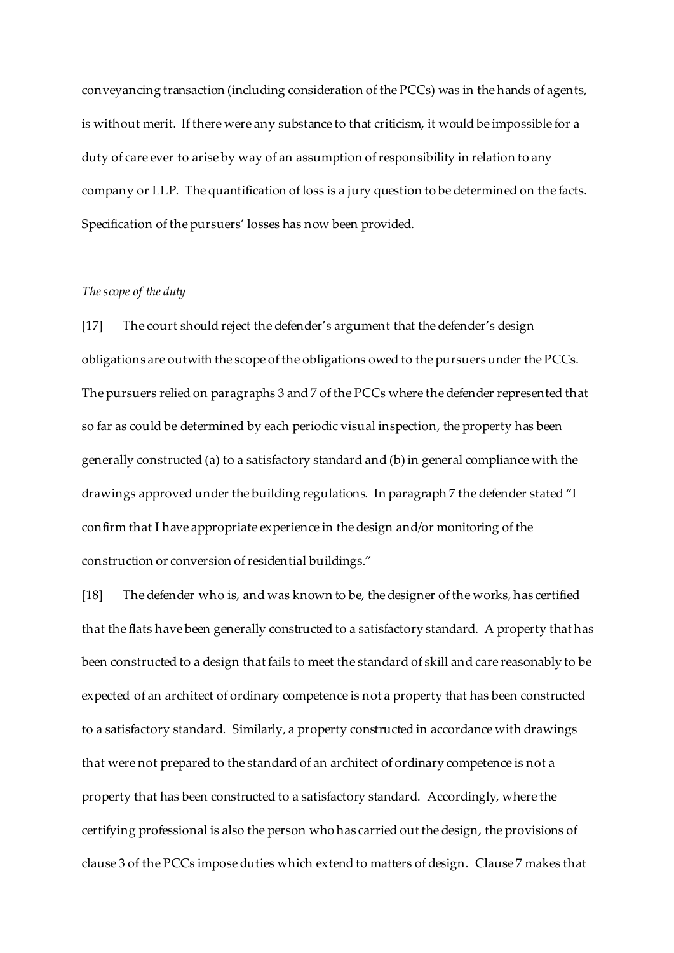conveyancing transaction (including consideration of the PCCs) was in the hands of agents, is without merit. If there were any substance to that criticism, it would be impossible for a duty of care ever to arise by way of an assumption of responsibility in relation to any company or LLP. The quantification of loss is a jury question to be determined on the facts. Specification of the pursuers' losses has now been provided.

## *The scope of the duty*

[17] The court should reject the defender's argument that the defender's design obligations are outwith the scope of the obligations owed to the pursuers under the PCCs. The pursuers relied on paragraphs 3 and 7 of the PCCs where the defender represented that so far as could be determined by each periodic visual inspection, the property has been generally constructed (a) to a satisfactory standard and (b) in general compliance with the drawings approved under the building regulations. In paragraph 7 the defender stated "I confirm that I have appropriate experience in the design and/or monitoring of the construction or conversion of residential buildings."

[18] The defender who is, and was known to be, the designer of the works, has certified that the flats have been generally constructed to a satisfactory standard. A property that has been constructed to a design that fails to meet the standard of skill and care reasonably to be expected of an architect of ordinary competence is not a property that has been constructed to a satisfactory standard. Similarly, a property constructed in accordance with drawings that were not prepared to the standard of an architect of ordinary competence is not a property that has been constructed to a satisfactory standard. Accordingly, where the certifying professional is also the person who has carried out the design, the provisions of clause 3 of the PCCs impose duties which extend to matters of design. Clause 7 makes that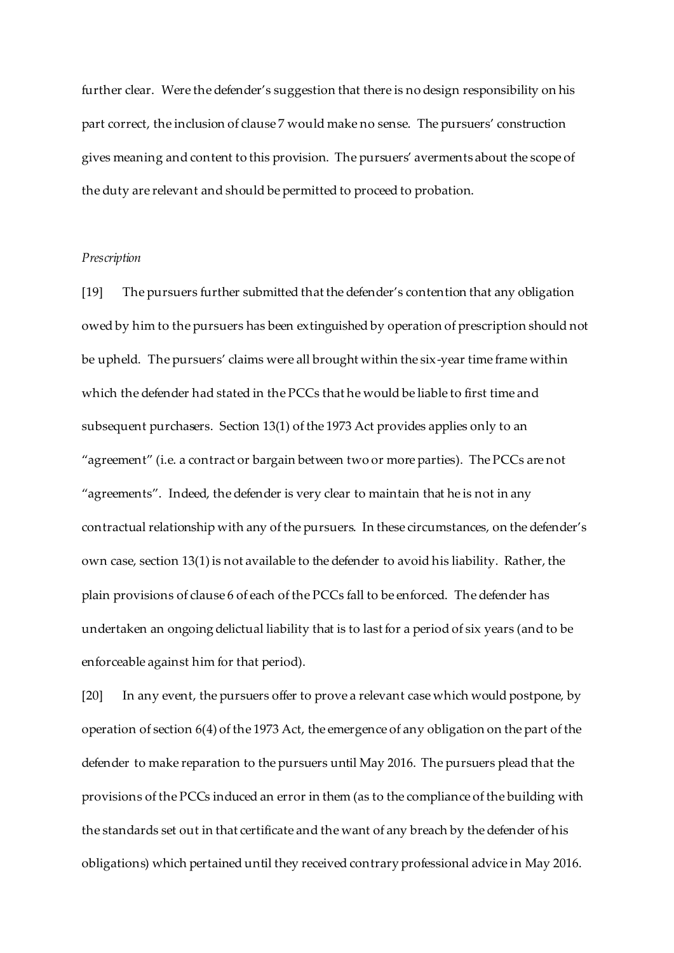further clear. Were the defender's suggestion that there is no design responsibility on his part correct, the inclusion of clause 7 would make no sense. The pursuers' construction gives meaning and content to this provision. The pursuers' averments about the scope of the duty are relevant and should be permitted to proceed to probation.

## *Prescription*

[19] The pursuers further submitted that the defender's contention that any obligation owed by him to the pursuers has been extinguished by operation of prescription should not be upheld. The pursuers' claims were all brought within the six-year time frame within which the defender had stated in the PCCs that he would be liable to first time and subsequent purchasers. Section 13(1) of the 1973 Act provides applies only to an "agreement" (i.e. a contract or bargain between two or more parties). The PCCs are not "agreements". Indeed, the defender is very clear to maintain that he is not in any contractual relationship with any of the pursuers. In these circumstances, on the defender's own case, section 13(1) is not available to the defender to avoid his liability. Rather, the plain provisions of clause 6 of each of the PCCs fall to be enforced. The defender has undertaken an ongoing delictual liability that is to last for a period of six years (and to be enforceable against him for that period).

[20] In any event, the pursuers offer to prove a relevant case which would postpone, by operation of section 6(4) of the 1973 Act, the emergence of any obligation on the part of the defender to make reparation to the pursuers until May 2016. The pursuers plead that the provisions of the PCCs induced an error in them (as to the compliance of the building with the standards set out in that certificate and the want of any breach by the defender of his obligations) which pertained until they received contrary professional advice in May 2016.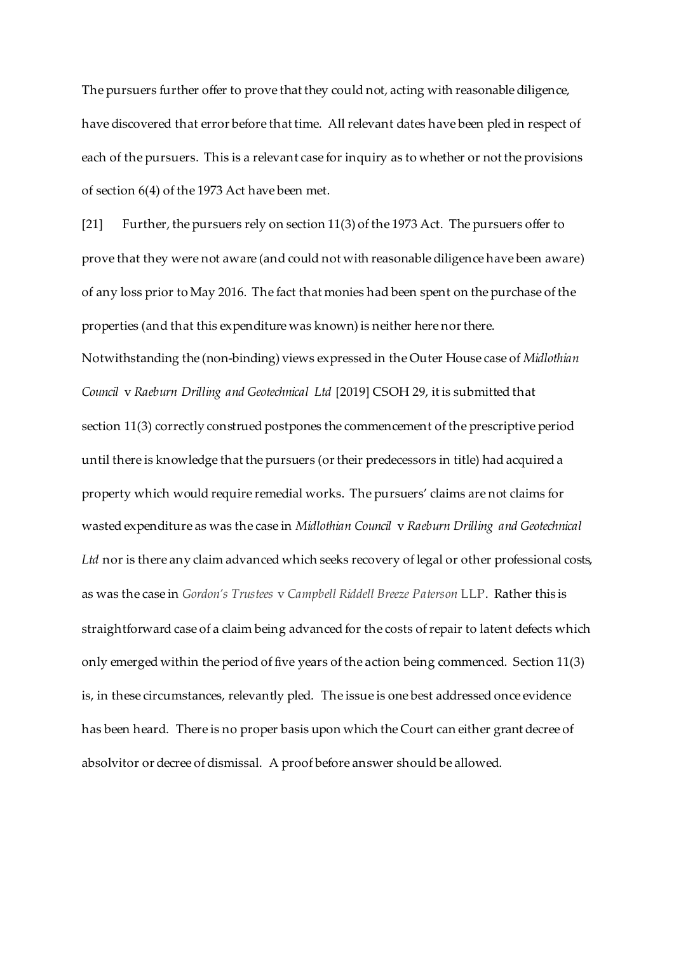The pursuers further offer to prove that they could not, acting with reasonable diligence, have discovered that error before that time. All relevant dates have been pled in respect of each of the pursuers. This is a relevant case for inquiry as to whether or not the provisions of section 6(4) of the 1973 Act have been met.

[21] Further, the pursuers rely on section 11(3) of the 1973 Act. The pursuers offer to prove that they were not aware (and could not with reasonable diligence have been aware) of any loss prior to May 2016. The fact that monies had been spent on the purchase of the properties (and that this expenditure was known) is neither here nor there. Notwithstanding the (non-binding) views expressed in the Outer House case of *Midlothian Council* v *Raeburn Drilling and Geotechnical Ltd* [2019] CSOH 29, it is submitted that section 11(3) correctly construed postpones the commencement of the prescriptive period until there is knowledge that the pursuers (or their predecessors in title) had acquired a property which would require remedial works. The pursuers' claims are not claims for wasted expenditure as was the case in *Midlothian Council* v *Raeburn Drilling and Geotechnical Ltd* nor is there any claim advanced which seeks recovery of legal or other professional costs, as was the case in *Gordon's Trustees* v *Campbell Riddell Breeze Paterson* LLP. Rather this is straightforward case of a claim being advanced for the costs of repair to latent defects which only emerged within the period of five years of the action being commenced. Section 11(3) is, in these circumstances, relevantly pled. The issue is one best addressed once evidence has been heard. There is no proper basis upon which the Court can either grant decree of absolvitor or decree of dismissal. A proof before answer should be allowed.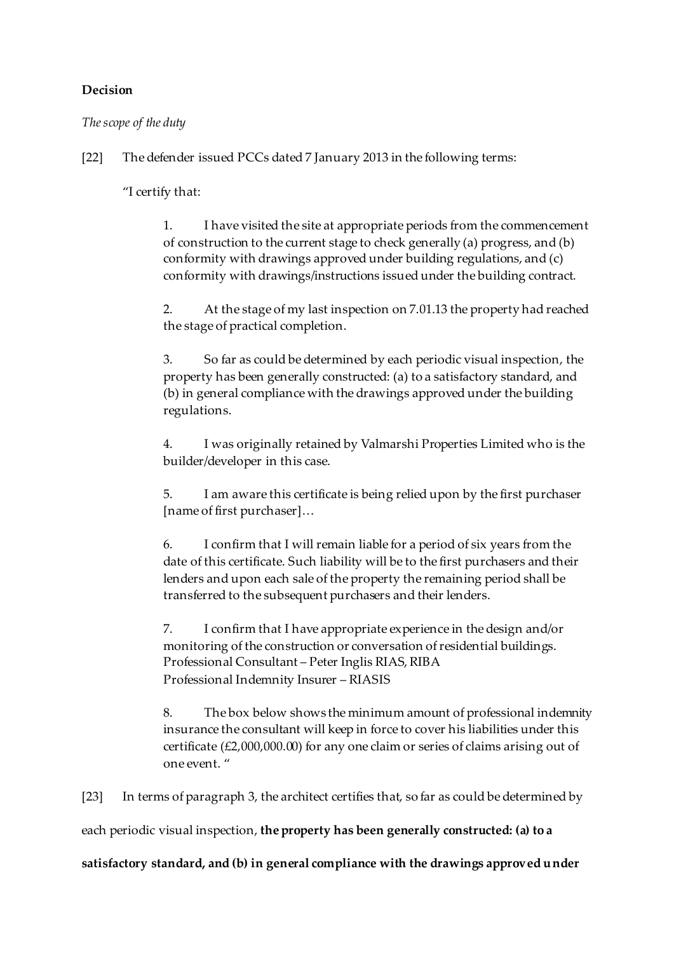# **Decision**

*The scope of the duty*

[22] The defender issued PCCs dated 7 January 2013 in the following terms:

"I certify that:

1. I have visited the site at appropriate periods from the commencement of construction to the current stage to check generally (a) progress, and (b) conformity with drawings approved under building regulations, and (c) conformity with drawings/instructions issued under the building contract.

2. At the stage of my last inspection on 7.01.13 the property had reached the stage of practical completion.

3. So far as could be determined by each periodic visual inspection, the property has been generally constructed: (a) to a satisfactory standard, and (b) in general compliance with the drawings approved under the building regulations.

4. I was originally retained by Valmarshi Properties Limited who is the builder/developer in this case.

5. I am aware this certificate is being relied upon by the first purchaser [name of first purchaser]…

6. I confirm that I will remain liable for a period of six years from the date of this certificate. Such liability will be to the first purchasers and their lenders and upon each sale of the property the remaining period shall be transferred to the subsequent purchasers and their lenders.

7. I confirm that I have appropriate experience in the design and/or monitoring of the construction or conversation of residential buildings. Professional Consultant – Peter Inglis RIAS, RIBA Professional Indemnity Insurer – RIASIS

8. The box below shows the minimum amount of professional indemnity insurance the consultant will keep in force to cover his liabilities under this certificate (£2,000,000.00) for any one claim or series of claims arising out of one event. "

[23] In terms of paragraph 3, the architect certifies that, so far as could be determined by

each periodic visual inspection, **the property has been generally constructed: (a) to a** 

**satisfactory standard, and (b) in general compliance with the drawings approved under**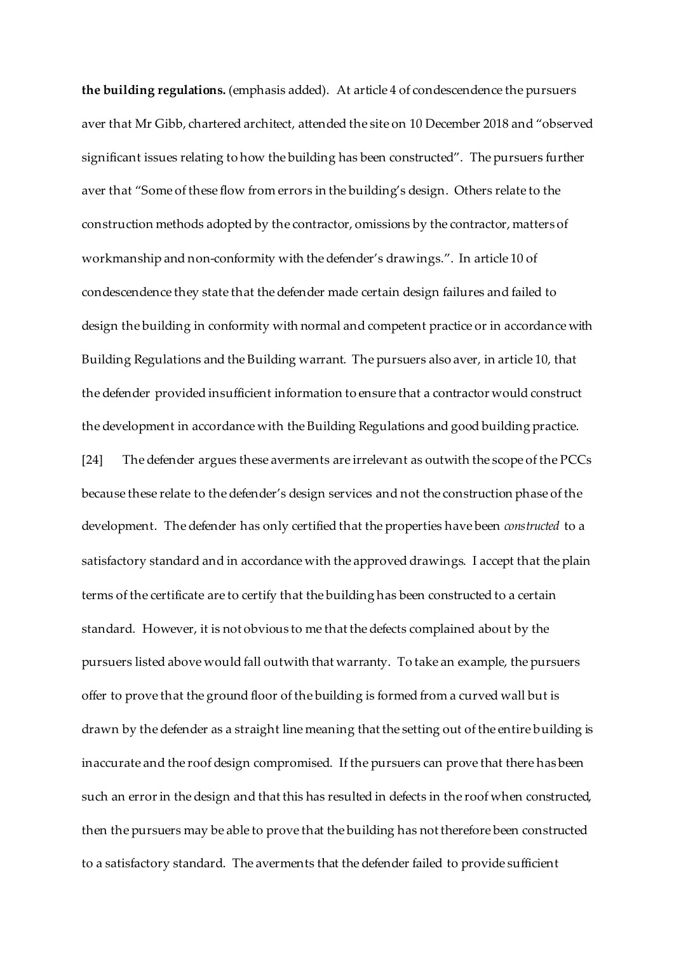**the building regulations.** (emphasis added). At article 4 of condescendence the pursuers aver that Mr Gibb, chartered architect, attended the site on 10 December 2018 and "observed significant issues relating to how the building has been constructed". The pursuers further aver that "Some of these flow from errors in the building's design. Others relate to the construction methods adopted by the contractor, omissions by the contractor, matters of workmanship and non-conformity with the defender's drawings.". In article 10 of condescendence they state that the defender made certain design failures and failed to design the building in conformity with normal and competent practice or in accordance with Building Regulations and the Building warrant. The pursuers also aver, in article 10, that the defender provided insufficient information to ensure that a contractor would construct the development in accordance with the Building Regulations and good building practice. [24] The defender argues these averments are irrelevant as outwith the scope of the PCCs because these relate to the defender's design services and not the construction phase of the development. The defender has only certified that the properties have been *constructed* to a satisfactory standard and in accordance with the approved drawings. I accept that the plain terms of the certificate are to certify that the building has been constructed to a certain standard. However, it is not obvious to me that the defects complained about by the pursuers listed above would fall outwith that warranty. To take an example, the pursuers offer to prove that the ground floor of the building is formed from a curved wall but is drawn by the defender as a straight line meaning that the setting out of the entire building is inaccurate and the roof design compromised. If the pursuers can prove that there has been such an error in the design and that this has resulted in defects in the roof when constructed, then the pursuers may be able to prove that the building has not therefore been constructed to a satisfactory standard. The averments that the defender failed to provide sufficient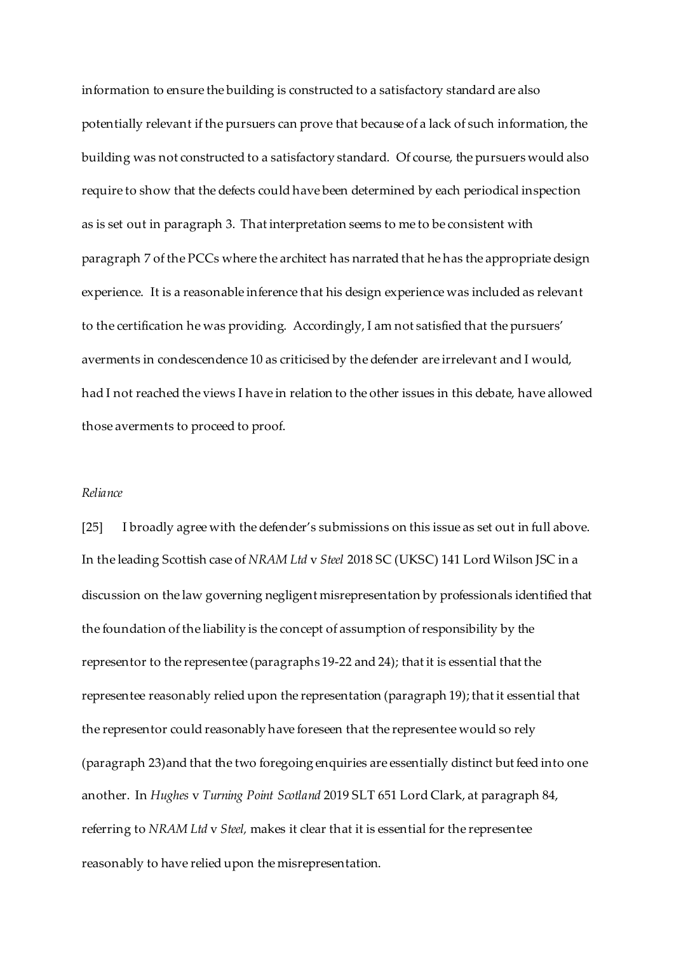information to ensure the building is constructed to a satisfactory standard are also potentially relevant if the pursuers can prove that because of a lack of such information, the building was not constructed to a satisfactory standard. Of course, the pursuers would also require to show that the defects could have been determined by each periodical inspection as is set out in paragraph 3. That interpretation seems to me to be consistent with paragraph 7 of the PCCs where the architect has narrated that he has the appropriate design experience. It is a reasonable inference that his design experience was included as relevant to the certification he was providing. Accordingly, I am not satisfied that the pursuers' averments in condescendence 10 as criticised by the defender are irrelevant and I would, had I not reached the views I have in relation to the other issues in this debate, have allowed those averments to proceed to proof.

#### *Reliance*

[25] I broadly agree with the defender's submissions on this issue as set out in full above. In the leading Scottish case of *NRAM Ltd* v *Steel* 2018 SC (UKSC) 141 Lord Wilson JSC in a discussion on the law governing negligent misrepresentation by professionals identified that the foundation of the liability is the concept of assumption of responsibility by the representor to the representee (paragraphs 19-22 and 24); that it is essential that the representee reasonably relied upon the representation (paragraph 19); that it essential that the representor could reasonably have foreseen that the representee would so rely (paragraph 23)and that the two foregoing enquiries are essentially distinct but feed into one another. In *Hughes* v *Turning Point Scotland* 2019 SLT 651 Lord Clark, at paragraph 84, referring to *NRAM Ltd* v *Steel,* makes it clear that it is essential for the representee reasonably to have relied upon the misrepresentation.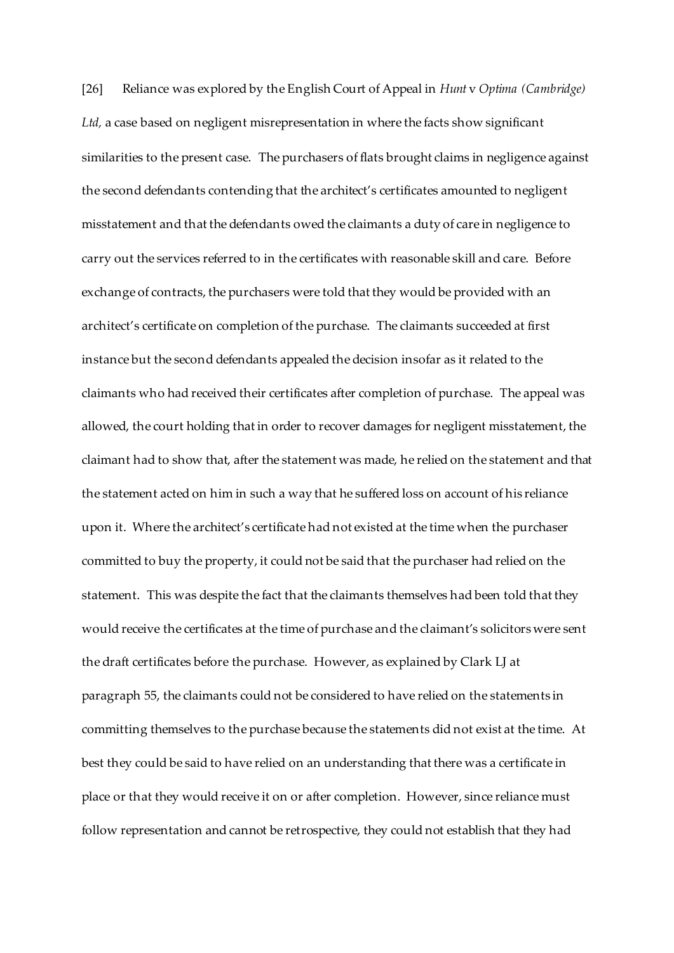[26] Reliance was explored by the English Court of Appeal in *Hunt* v *Optima (Cambridge) Ltd,* a case based on negligent misrepresentation in where the facts show significant similarities to the present case. The purchasers of flats brought claims in negligence against the second defendants contending that the architect's certificates amounted to negligent misstatement and that the defendants owed the claimants a duty of care in negligence to carry out the services referred to in the certificates with reasonable skill and care. Before exchange of contracts, the purchasers were told that they would be provided with an architect's certificate on completion of the purchase. The claimants succeeded at first instance but the second defendants appealed the decision insofar as it related to the claimants who had received their certificates after completion of purchase. The appeal was allowed, the court holding that in order to recover damages for negligent misstatement, the claimant had to show that, after the statement was made, he relied on the statement and that the statement acted on him in such a way that he suffered loss on account of his reliance upon it. Where the architect's certificate had not existed at the time when the purchaser committed to buy the property, it could not be said that the purchaser had relied on the statement. This was despite the fact that the claimants themselves had been told that they would receive the certificates at the time of purchase and the claimant's solicitors were sent the draft certificates before the purchase. However, as explained by Clark LJ at paragraph 55, the claimants could not be considered to have relied on the statements in committing themselves to the purchase because the statements did not exist at the time. At best they could be said to have relied on an understanding that there was a certificate in place or that they would receive it on or after completion. However, since reliance must follow representation and cannot be retrospective, they could not establish that they had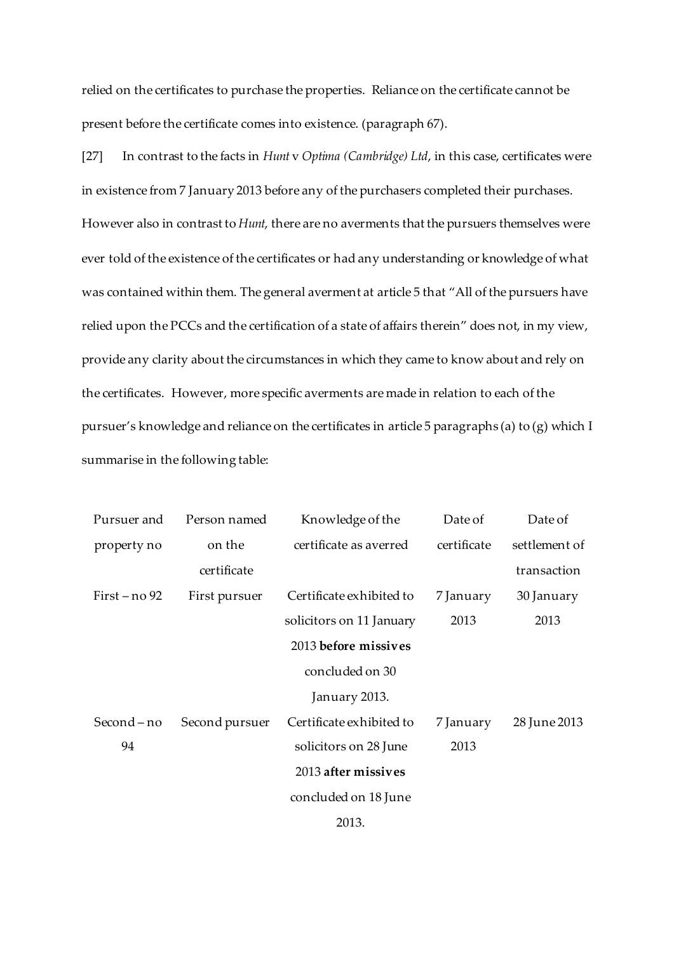relied on the certificates to purchase the properties. Reliance on the certificate cannot be present before the certificate comes into existence. (paragraph 67).

[27] In contrast to the facts in *Hunt* v *Optima (Cambridge) Ltd*, in this case, certificates were in existence from 7 January 2013 before any of the purchasers completed their purchases. However also in contrast to *Hunt*, there are no averments that the pursuers themselves were ever told of the existence of the certificates or had any understanding or knowledge of what was contained within them. The general averment at article 5 that "All of the pursuers have relied upon the PCCs and the certification of a state of affairs therein" does not, in my view, provide any clarity about the circumstances in which they came to know about and rely on the certificates. However, more specific averments are made in relation to each of the pursuer's knowledge and reliance on the certificates in article 5 paragraphs (a) to (g) which I summarise in the following table:

| Pursuer and     | Person named   | Knowledge of the         | Date of     | Date of       |
|-----------------|----------------|--------------------------|-------------|---------------|
| property no     | on the         | certificate as averred   | certificate | settlement of |
|                 | certificate    |                          |             | transaction   |
| First $-$ no 92 | First pursuer  | Certificate exhibited to | 7 January   | 30 January    |
|                 |                | solicitors on 11 January | 2013        | 2013          |
|                 |                | 2013 before missives     |             |               |
|                 |                | concluded on 30          |             |               |
|                 |                | January 2013.            |             |               |
| Second – no     | Second pursuer | Certificate exhibited to | 7 January   | 28 June 2013  |
| 94              |                | solicitors on 28 June    | 2013        |               |
|                 |                | 2013 after missives      |             |               |
|                 |                | concluded on 18 June     |             |               |
|                 |                | 2013.                    |             |               |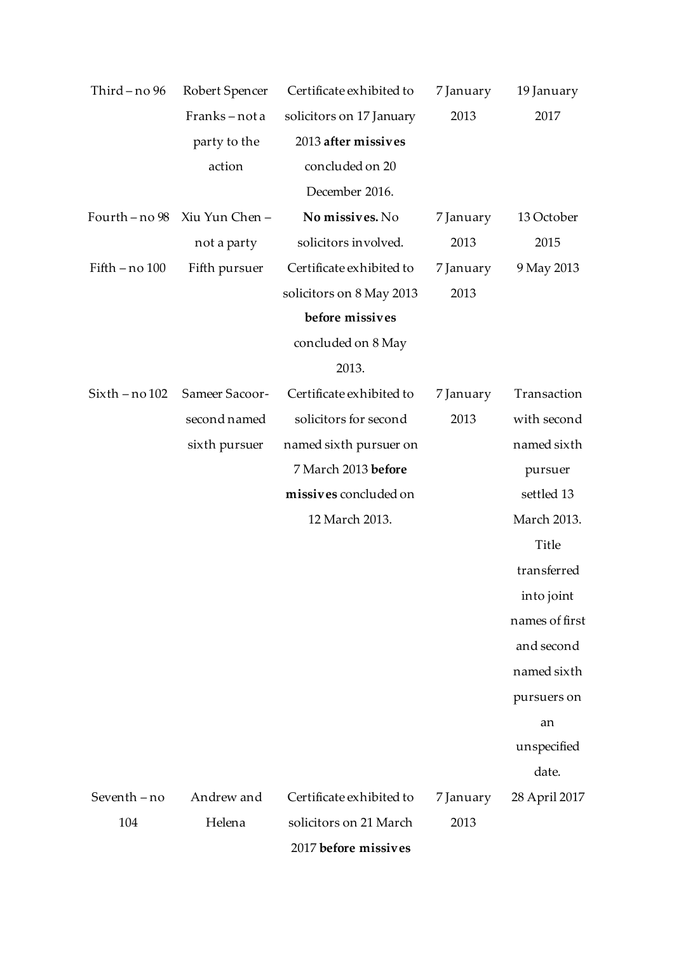| Third-no 96      | Robert Spencer                | Certificate exhibited to | 7 January | 19 January     |
|------------------|-------------------------------|--------------------------|-----------|----------------|
|                  | Franks-nota                   | solicitors on 17 January | 2013      | 2017           |
|                  | party to the                  | 2013 after missives      |           |                |
|                  | action                        | concluded on 20          |           |                |
|                  |                               | December 2016.           |           |                |
|                  | Fourth - no 98 Xiu Yun Chen - | No missives. No          | 7 January | 13 October     |
|                  | not a party                   | solicitors involved.     | 2013      | 2015           |
| Fifth - no 100   | Fifth pursuer                 | Certificate exhibited to | 7 January | 9 May 2013     |
|                  |                               | solicitors on 8 May 2013 | 2013      |                |
|                  |                               | before missives          |           |                |
|                  |                               | concluded on 8 May       |           |                |
|                  |                               | 2013.                    |           |                |
| $Sixth - no 102$ | Sameer Sacoor-                | Certificate exhibited to | 7 January | Transaction    |
|                  | second named                  | solicitors for second    | 2013      | with second    |
|                  | sixth pursuer                 | named sixth pursuer on   |           | named sixth    |
|                  |                               | 7 March 2013 before      |           | pursuer        |
|                  |                               | missives concluded on    |           | settled 13     |
|                  |                               | 12 March 2013.           |           | March 2013.    |
|                  |                               |                          |           | Title          |
|                  |                               |                          |           | transferred    |
|                  |                               |                          |           | into joint     |
|                  |                               |                          |           | names of first |
|                  |                               |                          |           | and second     |
|                  |                               |                          |           | named sixth    |
|                  |                               |                          |           | pursuers on    |
|                  |                               |                          |           | an             |
|                  |                               |                          |           | unspecified    |
|                  |                               |                          |           | date.          |
| Seventh-no       | Andrew and                    | Certificate exhibited to | 7 January | 28 April 2017  |
| 104              | Helena                        | solicitors on 21 March   | 2013      |                |
|                  |                               | 2017 before missives     |           |                |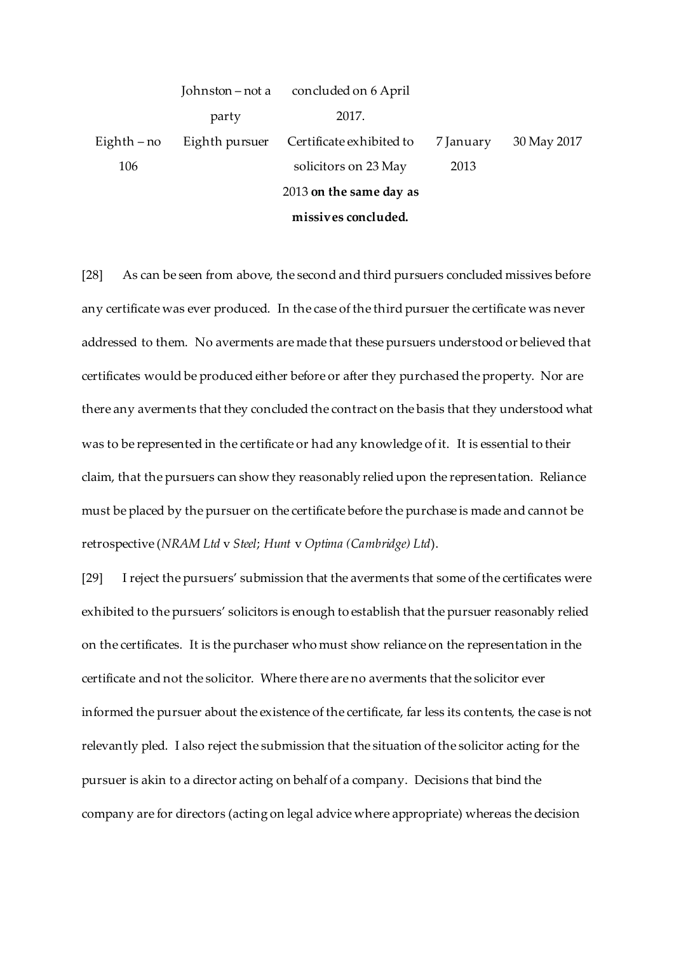|               | Johnston – not a | concluded on 6 April     |           |             |
|---------------|------------------|--------------------------|-----------|-------------|
|               | party            | 2017.                    |           |             |
| Eighth $-$ no | Eighth pursuer   | Certificate exhibited to | 7 January | 30 May 2017 |
| 106           |                  | solicitors on 23 May     | 2013      |             |
|               |                  | 2013 on the same day as  |           |             |
|               |                  |                          |           |             |

**missives concluded.**

[28] As can be seen from above, the second and third pursuers concluded missives before any certificate was ever produced. In the case of the third pursuer the certificate was never addressed to them. No averments are made that these pursuers understood or believed that certificates would be produced either before or after they purchased the property. Nor are there any averments that they concluded the contract on the basis that they understood what was to be represented in the certificate or had any knowledge of it. It is essential to their claim, that the pursuers can show they reasonably relied upon the representation. Reliance must be placed by the pursuer on the certificate before the purchase is made and cannot be retrospective (*NRAM Ltd* v *Steel*; *Hunt* v *Optima (Cambridge) Ltd*).

[29] I reject the pursuers' submission that the averments that some of the certificates were exhibited to the pursuers' solicitors is enough to establish that the pursuer reasonably relied on the certificates. It is the purchaser who must show reliance on the representation in the certificate and not the solicitor. Where there are no averments that the solicitor ever informed the pursuer about the existence of the certificate, far less its contents, the case is not relevantly pled. I also reject the submission that the situation of the solicitor acting for the pursuer is akin to a director acting on behalf of a company. Decisions that bind the company are for directors (acting on legal advice where appropriate) whereas the decision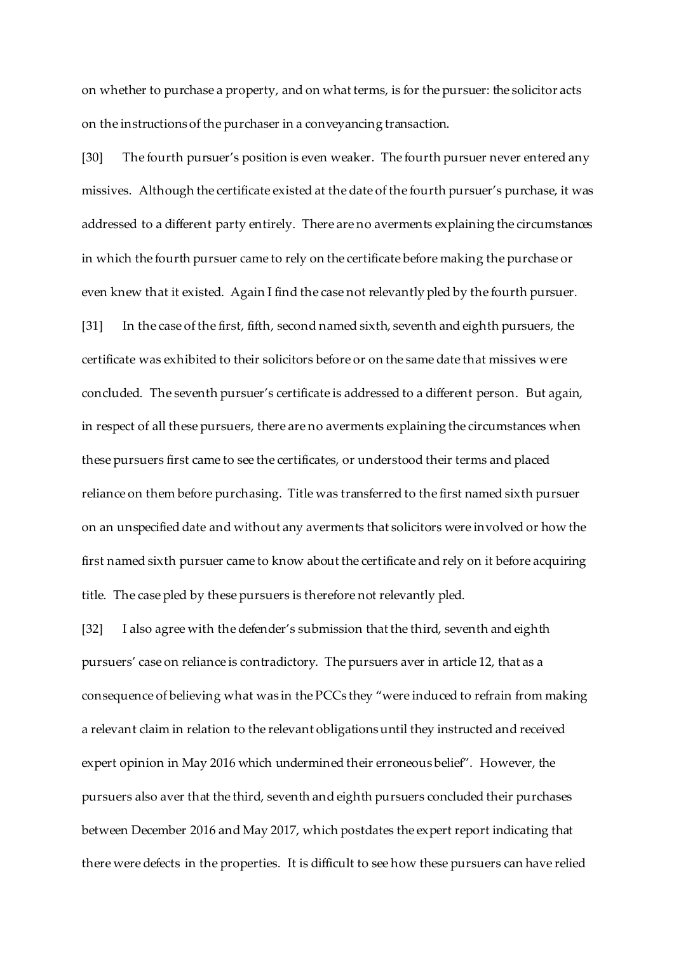on whether to purchase a property, and on what terms, is for the pursuer: the solicitor acts on the instructions of the purchaser in a conveyancing transaction.

[30] The fourth pursuer's position is even weaker. The fourth pursuer never entered any missives. Although the certificate existed at the date of the fourth pursuer's purchase, it was addressed to a different party entirely. There are no averments explaining the circumstances in which the fourth pursuer came to rely on the certificate before making the purchase or even knew that it existed. Again I find the case not relevantly pled by the fourth pursuer. [31] In the case of the first, fifth, second named sixth, seventh and eighth pursuers, the certificate was exhibited to their solicitors before or on the same date that missives were concluded. The seventh pursuer's certificate is addressed to a different person. But again, in respect of all these pursuers, there are no averments explaining the circumstances when these pursuers first came to see the certificates, or understood their terms and placed reliance on them before purchasing. Title was transferred to the first named sixth pursuer on an unspecified date and without any averments that solicitors were involved or how the first named sixth pursuer came to know about the certificate and rely on it before acquiring title. The case pled by these pursuers is therefore not relevantly pled.

[32] I also agree with the defender's submission that the third, seventh and eighth pursuers' case on reliance is contradictory. The pursuers aver in article 12, that as a consequence of believing what was in the PCCs they "were induced to refrain from making a relevant claim in relation to the relevant obligations until they instructed and received expert opinion in May 2016 which undermined their erroneous belief". However, the pursuers also aver that the third, seventh and eighth pursuers concluded their purchases between December 2016 and May 2017, which postdates the expert report indicating that there were defects in the properties. It is difficult to see how these pursuers can have relied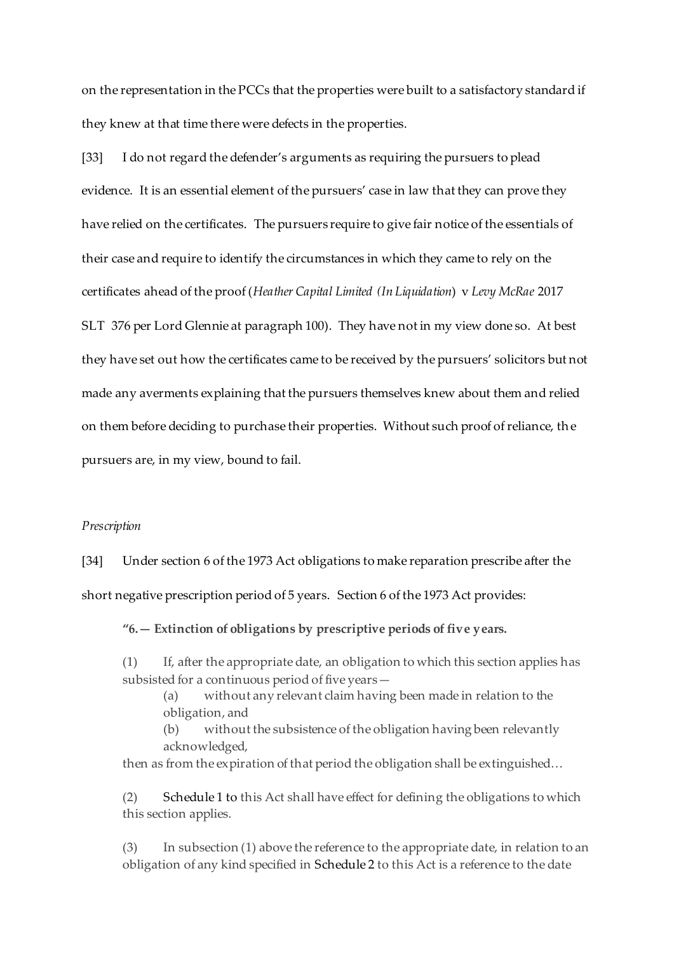on the representation in the PCCs that the properties were built to a satisfactory standard if they knew at that time there were defects in the properties.

[33] I do not regard the defender's arguments as requiring the pursuers to plead evidence. It is an essential element of the pursuers' case in law that they can prove they have relied on the certificates. The pursuers require to give fair notice of the essentials of their case and require to identify the circumstances in which they came to rely on the certificates ahead of the proof (*Heather Capital Limited (In Liquidation*) v *Levy McRae* 2017 SLT 376 per Lord Glennie at paragraph 100). They have not in my view done so. At best they have set out how the certificates came to be received by the pursuers' solicitors but not made any averments explaining that the pursuers themselves knew about them and relied on them before deciding to purchase their properties. Without such proof of reliance, the pursuers are, in my view, bound to fail.

## *Prescription*

[34] Under section 6 of the 1973 Act obligations to make reparation prescribe after the short negative prescription period of 5 years. Section 6 of the 1973 Act provides:

**"6.— Extinction of obligations by prescriptive periods of five years.**

(1) If, after the appropriate date, an obligation to which this section applies has subsisted for a continuous period of five years—

(a) without any relevant claim having been made in relation to the obligation, and

(b) without the subsistence of the obligation having been relevantly acknowledged,

then as from the expiration of that period the obligation shall be extinguished…

(2) [Schedule 1](https://uk.westlaw.com/Document/I341EF301E44911DA8D70A0E70A78ED65/View/FullText.html?originationContext=document&transitionType=DocumentItem&contextData=(sc.Search)) to this Act shall have effect for defining the obligations to which this section applies.

(3) In subsection (1) above the reference to the appropriate date, in relation to an obligation of any kind specified in [Schedule 2](https://uk.westlaw.com/Document/I342386E0E44911DA8D70A0E70A78ED65/View/FullText.html?originationContext=document&transitionType=DocumentItem&contextData=(sc.Search)) to this Act is a reference to the date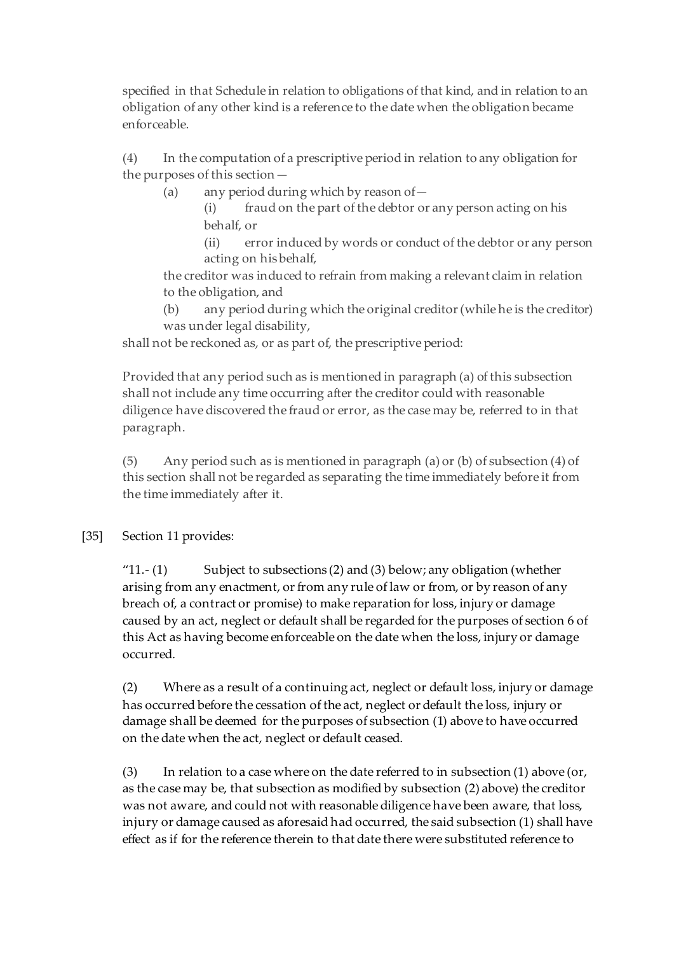specified in that Schedule in relation to obligations of that kind, and in relation to an obligation of any other kind is a reference to the date when the obligation became enforceable.

(4) In the computation of a prescriptive period in relation to any obligation for the purposes of this section—

(a) any period during which by reason of—

(i) fraud on the part of the debtor or any person acting on his behalf, or

(ii) error induced by words or conduct of the debtor or any person acting on his behalf,

the creditor was induced to refrain from making a relevant claim in relation to the obligation, and

(b) any period during which the original creditor (while he is the creditor) was under legal disability,

shall not be reckoned as, or as part of, the prescriptive period:

Provided that any period such as is mentioned in paragraph (a) of this subsection shall not include any time occurring after the creditor could with reasonable diligence have discovered the fraud or error, as the case may be, referred to in that paragraph.

(5) Any period such as is mentioned in paragraph (a) or (b) of subsection (4) of this section shall not be regarded as separating the time immediately before it from the time immediately after it.

# [35] Section 11 provides:

"11.- (1) Subject to subsections (2) and (3) below; any obligation (whether arising from any enactment, or from any rule of law or from, or by reason of any breach of, a contract or promise) to make reparation for loss, injury or damage caused by an act, neglect or default shall be regarded for the purposes of section 6 of this Act as having become enforceable on the date when the loss, injury or damage occurred.

(2) Where as a result of a continuing act, neglect or default loss, injury or damage has occurred before the cessation of the act, neglect or default the loss, injury or damage shall be deemed for the purposes of subsection (1) above to have occurred on the date when the act, neglect or default ceased.

(3) In relation to a case where on the date referred to in subsection (1) above (or, as the case may be, that subsection as modified by subsection (2) above) the creditor was not aware, and could not with reasonable diligence have been aware, that loss, injury or damage caused as aforesaid had occurred, the said subsection (1) shall have effect as if for the reference therein to that date there were substituted reference to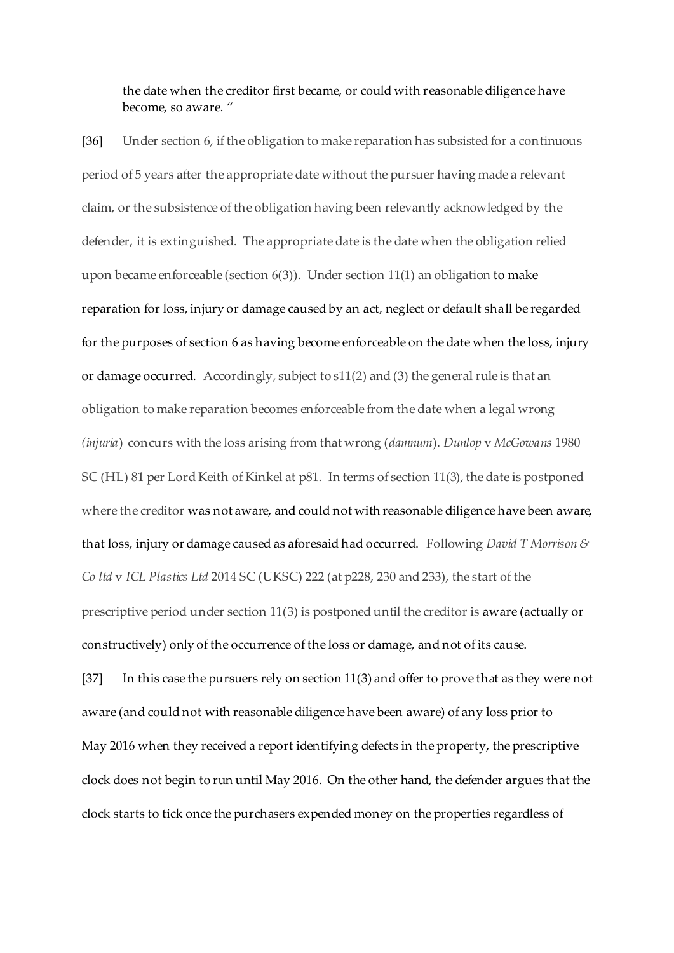the date when the creditor first became, or could with reasonable diligence have become, so aware. "

[36] Under section 6, if the obligation to make reparation has subsisted for a continuous period of 5 years after the appropriate date without the pursuer having made a relevant claim, or the subsistence of the obligation having been relevantly acknowledged by the defender, it is extinguished. The appropriate date is the date when the obligation relied upon became enforceable (section 6(3)). Under section 11(1) an obligation to make reparation for loss, injury or damage caused by an act, neglect or default shall be regarded for the purposes of section 6 as having become enforceable on the date when the loss, injury or damage occurred. Accordingly, subject to s11(2) and (3) the general rule is that an obligation to make reparation becomes enforceable from the date when a legal wrong *(injuria*) concurs with the loss arising from that wrong (*damnum*). *Dunlop* v *McGowans* 1980 SC (HL) 81 per Lord Keith of Kinkel at p81. In terms of section 11(3), the date is postponed where the creditor was not aware, and could not with reasonable diligence have been aware, that loss, injury or damage caused as aforesaid had occurred. Following *David T Morrison & Co ltd* v *ICL Plastics Ltd* 2014 SC (UKSC) 222 (at p228, 230 and 233), the start of the prescriptive period under section 11(3) is postponed until the creditor is aware (actually or constructively) only of the occurrence of the loss or damage, and not of its cause. [37] In this case the pursuers rely on section 11(3) and offer to prove that as they were not aware (and could not with reasonable diligence have been aware) of any loss prior to May 2016 when they received a report identifying defects in the property, the prescriptive

clock does not begin to run until May 2016. On the other hand, the defender argues that the clock starts to tick once the purchasers expended money on the properties regardless of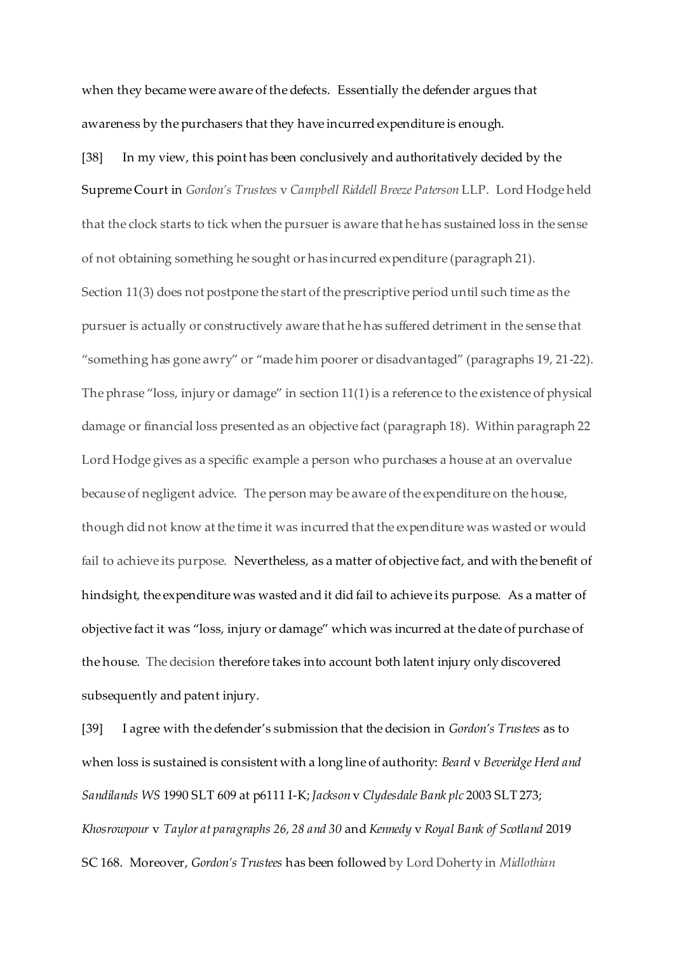when they became were aware of the defects. Essentially the defender argues that awareness by the purchasers that they have incurred expenditure is enough.

[38] In my view, this point has been conclusively and authoritatively decided by the Supreme Court in *Gordon's Trustees* v *Campbell Riddell Breeze Paterson* LLP. Lord Hodge held that the clock starts to tick when the pursuer is aware that he has sustained loss in the sense of not obtaining something he sought or has incurred expenditure (paragraph 21). Section 11(3) does not postpone the start of the prescriptive period until such time as the pursuer is actually or constructively aware that he has suffered detriment in the sense that "something has gone awry" or "made him poorer or disadvantaged" (paragraphs 19, 21-22). The phrase "loss, injury or damage" in section 11(1) is a reference to the existence of physical damage or financial loss presented as an objective fact (paragraph 18). Within paragraph 22 Lord Hodge gives as a specific example a person who purchases a house at an overvalue because of negligent advice. The person may be aware of the expenditure on the house, though did not know at the time it was incurred that the expenditure was wasted or would fail to achieve its purpose. Nevertheless, as a matter of objective fact, and with the benefit of hindsight, the expenditure was wasted and it did fail to achieve its purpose. As a matter of objective fact it was "loss, injury or damage" which was incurred at the date of purchase of the house. The decision therefore takes into account both latent injury only discovered subsequently and patent injury.

[39] I agree with the defender's submission that the decision in *Gordon's Trustees* as to when loss is sustained is consistent with a long line of authority: *Beard* v *Beveridge Herd and Sandilands WS* 1990 SLT 609 at p6111 I-K; *Jackson* v *Clydesdale Bank plc* 2003 SLT 273; *Khosrowpour* v *Taylor at paragraphs 26, 28 and 30* and *Kennedy* v *Royal Bank of Scotland* 2019 SC 168. Moreover, *Gordon's Trustees* has been followed by Lord Doherty in *Midlothian*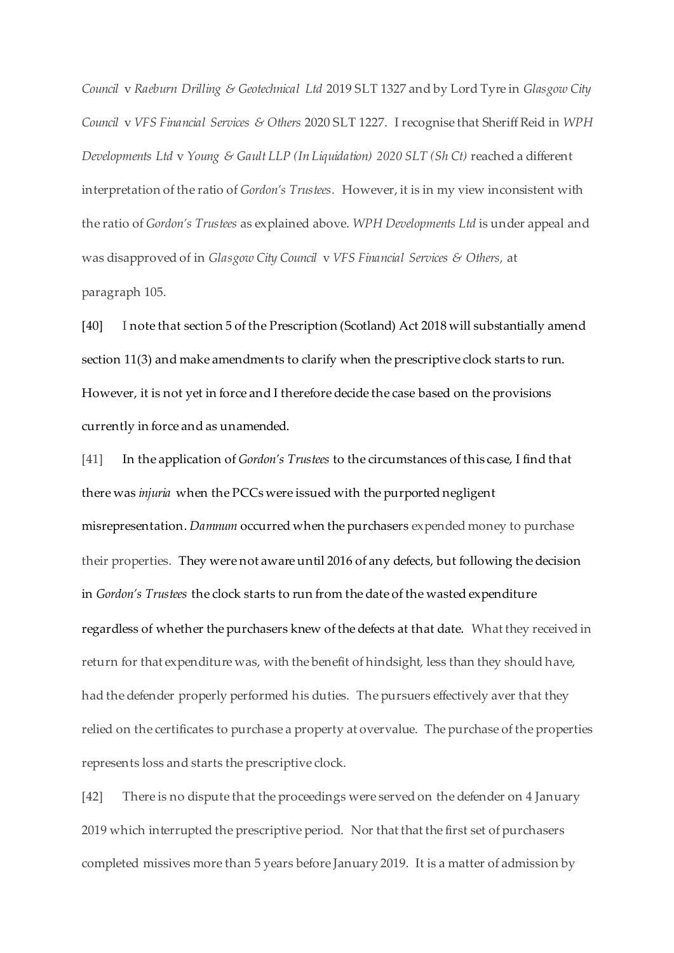*Council* v *Raeburn Drilling & Geotechnical Ltd* 2019 SLT 1327 and by Lord Tyre in *Glasgow City Council* v *VFS Financial Services & Others* 2020 SLT 1227. I recognise that Sheriff Reid in *WPH Developments Ltd* v *Young & Gault LLP (In Liquidation) 2020 SLT (Sh Ct)* reached a different interpretation of the ratio of *Gordon's Trustees.* However, it is in my view inconsistent with the ratio of *Gordon's Trustees* as explained above. *WPH Developments Ltd* is under appeal and was disapproved of in *Glasgow City Council* v *VFS Financial Services & Others,* at paragraph 105.

[40] I note that section 5 of the Prescription (Scotland) Act 2018 will substantially amend section 11(3) and make amendments to clarify when the prescriptive clock starts to run. However, it is not yet in force and I therefore decide the case based on the provisions currently in force and as unamended.

[41] In the application of *Gordon's Trustees* to the circumstances of this case, I find that there was *injuria* when the PCCs were issued with the purported negligent misrepresentation. *Damnum* occurred when the purchasers expended money to purchase their properties. They were not aware until 2016 of any defects, but following the decision in *Gordon's Trustees* the clock starts to run from the date of the wasted expenditure regardless of whether the purchasers knew of the defects at that date. What they received in return for that expenditure was, with the benefit of hindsight, less than they should have, had the defender properly performed his duties. The pursuers effectively aver that they relied on the certificates to purchase a property at overvalue. The purchase of the properties represents loss and starts the prescriptive clock.

[42] There is no dispute that the proceedings were served on the defender on 4 January 2019 which interrupted the prescriptive period. Nor that that the first set of purchasers completed missives more than 5 years before January 2019. It is a matter of admission by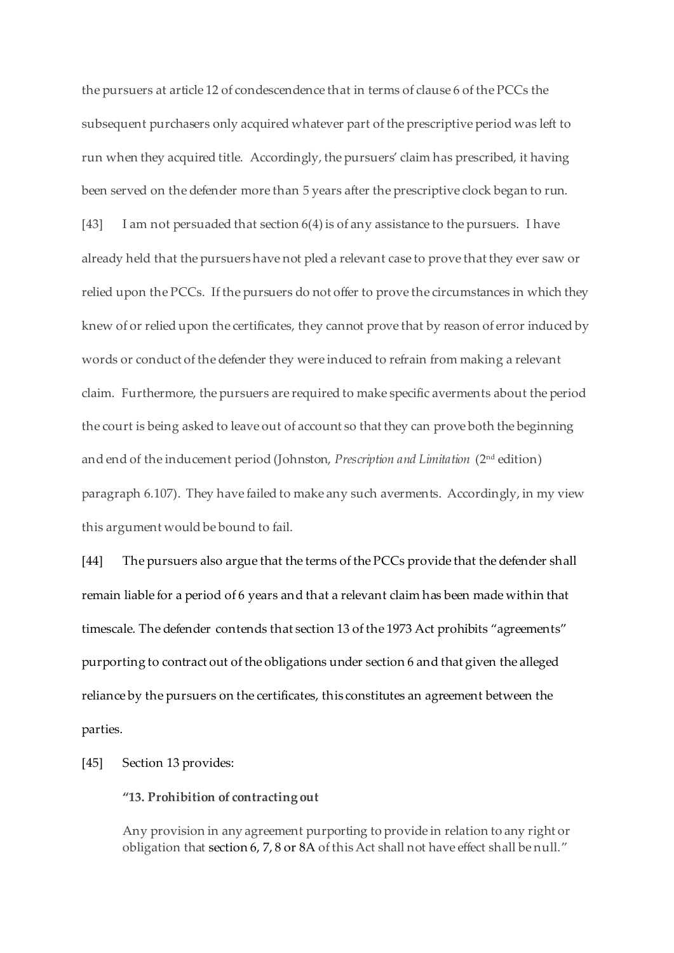the pursuers at article 12 of condescendence that in terms of clause 6 of the PCCs the subsequent purchasers only acquired whatever part of the prescriptive period was left to run when they acquired title. Accordingly, the pursuers' claim has prescribed, it having been served on the defender more than 5 years after the prescriptive clock began to run. [43] I am not persuaded that section 6(4) is of any assistance to the pursuers. I have already held that the pursuers have not pled a relevant case to prove that they ever saw or relied upon the PCCs. If the pursuers do not offer to prove the circumstances in which they knew of or relied upon the certificates, they cannot prove that by reason of error induced by words or conduct of the defender they were induced to refrain from making a relevant claim. Furthermore, the pursuers are required to make specific averments about the period the court is being asked to leave out of account so that they can prove both the beginning and end of the inducement period (Johnston, *Prescription and Limitation* (2nd edition) paragraph 6.107). They have failed to make any such averments. Accordingly, in my view this argument would be bound to fail.

[44] The pursuers also argue that the terms of the PCCs provide that the defender shall remain liable for a period of 6 years and that a relevant claim has been made within that timescale. The defender contends that section 13 of the 1973 Act prohibits "agreements" purporting to contract out of the obligations under section 6 and that given the alleged reliance by the pursuers on the certificates, this constitutes an agreement between the parties.

## [45] Section 13 provides:

#### **"13. Prohibition of contracting out**

Any provision in any agreement purporting to provide in relation to any right or obligation tha[t section 6](https://uk.westlaw.com/Document/I340E7840E44911DA8D70A0E70A78ED65/View/FullText.html?originationContext=document&transitionType=DocumentItem&contextData=(sc.DocLink))[, 7](https://uk.westlaw.com/Document/I340F62A0E44911DA8D70A0E70A78ED65/View/FullText.html?originationContext=document&transitionType=DocumentItem&contextData=(sc.DocLink)), 8 or 8A of this Act shall not have effect shall be null."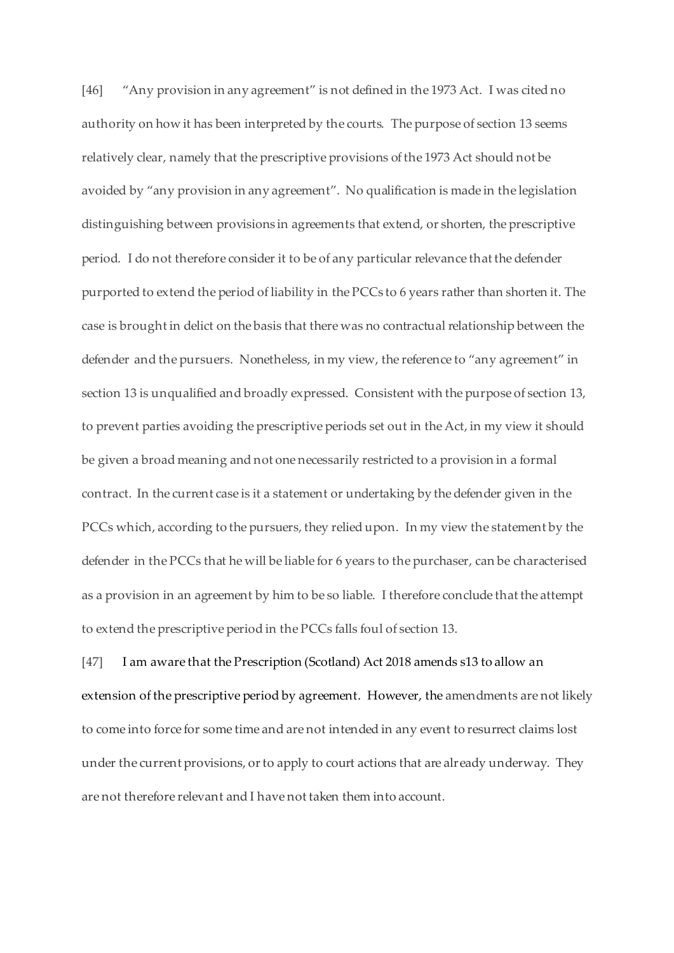[46] "Any provision in any agreement" is not defined in the 1973 Act. I was cited no authority on how it has been interpreted by the courts. The purpose of section 13 seems relatively clear, namely that the prescriptive provisions of the 1973 Act should not be avoided by "any provision in any agreement". No qualification is made in the legislation distinguishing between provisions in agreements that extend, or shorten, the prescriptive period. I do not therefore consider it to be of any particular relevance that the defender purported to extend the period of liability in the PCCs to 6 years rather than shorten it. The case is brought in delict on the basis that there was no contractual relationship between the defender and the pursuers. Nonetheless, in my view, the reference to "any agreement" in section 13 is unqualified and broadly expressed. Consistent with the purpose of section 13, to prevent parties avoiding the prescriptive periods set out in the Act, in my view it should be given a broad meaning and not one necessarily restricted to a provision in a formal contract. In the current case is it a statement or undertaking by the defender given in the PCCs which, according to the pursuers, they relied upon. In my view the statement by the defender in the PCCs that he will be liable for 6 years to the purchaser, can be characterised as a provision in an agreement by him to be so liable. I therefore conclude that the attempt to extend the prescriptive period in the PCCs falls foul of section 13.

[47] I am aware that the Prescription (Scotland) Act 2018 amends s13 to allow an extension of the prescriptive period by agreement. However, the amendments are not likely to come into force for some time and are not intended in any event to resurrect claims lost under the current provisions, or to apply to court actions that are already underway. They are not therefore relevant and I have not taken them into account.